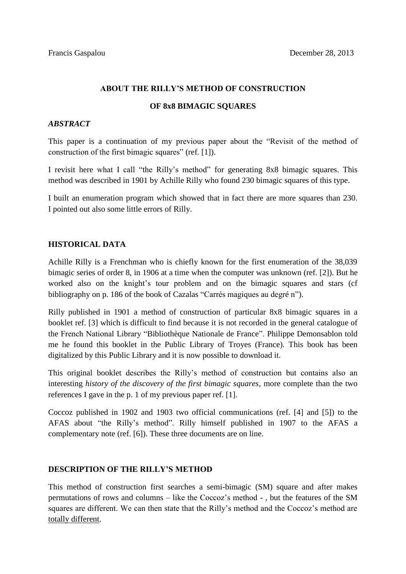# **ABOUT THE RILLY'S METHOD OF CONSTRUCTION**

### **OF 8x8 BIMAGIC SQUARES**

# *ABSTRACT*

This paper is a continuation of my previous paper about the "Revisit of the method of construction of the first bimagic squares" (ref. [1]).

I revisit here what I call "the Rilly's method" for generating 8x8 bimagic squares. This method was described in 1901 by Achille Rilly who found 230 bimagic squares of this type.

I built an enumeration program which showed that in fact there are more squares than 230. I pointed out also some little errors of Rilly.

### **HISTORICAL DATA**

Achille Rilly is a Frenchman who is chiefly known for the first enumeration of the 38,039 bimagic series of order 8, in 1906 at a time when the computer was unknown (ref. [2]). But he worked also on the knight's tour problem and on the bimagic squares and stars (cf bibliography on p. 186 of the book of Cazalas "Carrés magiques au degré n").

Rilly published in 1901 a method of construction of particular 8x8 bimagic squares in a booklet ref. [3] which is difficult to find because it is not recorded in the general catalogue of the French National Library "Bibliothèque Nationale de France". Philippe Demonsablon told me he found this booklet in the Public Library of Troyes (France). This book has been digitalized by this Public Library and it is now possible to download it.

This original booklet describes the Rilly's method of construction but contains also an interesting *history of the discovery of the first bimagic squares*, more complete than the two references I gave in the p. 1 of my previous paper ref. [1].

Coccoz published in 1902 and 1903 two official communications (ref. [4] and [5]) to the AFAS about "the Rilly's method". Rilly himself published in 1907 to the AFAS a complementary note (ref. [6]). These three documents are on line.

## **DESCRIPTION OF THE RILLY'S METHOD**

This method of construction first searches a semi-bimagic (SM) square and after makes permutations of rows and columns – like the Coccoz's method - , but the features of the SM squares are different. We can then state that the Rilly's method and the Coccoz's method are totally different.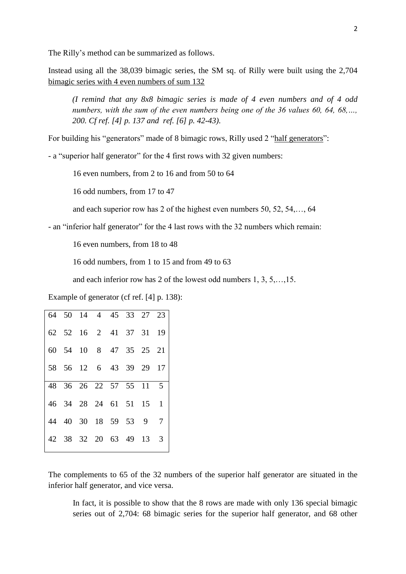The Rilly's method can be summarized as follows.

Instead using all the 38,039 bimagic series, the SM sq. of Rilly were built using the 2,704 bimagic series with 4 even numbers of sum 132

*(I remind that any 8x8 bimagic series is made of 4 even numbers and of 4 odd numbers, with the sum of the even numbers being one of the 36 values 60, 64, 68,…, 200. Cf ref. [4] p. 137 and ref. [6] p. 42-43)*.

For building his "generators" made of 8 bimagic rows, Rilly used 2 "half generators":

- a "superior half generator" for the 4 first rows with 32 given numbers:

16 even numbers, from 2 to 16 and from 50 to 64

16 odd numbers, from 17 to 47

and each superior row has 2 of the highest even numbers 50, 52, 54,…, 64

- an "inferior half generator" for the 4 last rows with the 32 numbers which remain:

16 even numbers, from 18 to 48

16 odd numbers, from 1 to 15 and from 49 to 63

and each inferior row has 2 of the lowest odd numbers 1, 3, 5,…,15.

Example of generator (cf ref. [4] p. 138):

|  | 64 50 14 4 45 33 27 23 |  |  |  |
|--|------------------------|--|--|--|
|  | 62 52 16 2 41 37 31 19 |  |  |  |
|  | 60 54 10 8 47 35 25 21 |  |  |  |
|  | 58 56 12 6 43 39 29 17 |  |  |  |
|  | 48 36 26 22 57 55 11 5 |  |  |  |
|  | 46 34 28 24 61 51 15 1 |  |  |  |
|  | 44 40 30 18 59 53 9 7  |  |  |  |
|  | 42 38 32 20 63 49 13 3 |  |  |  |
|  |                        |  |  |  |

The complements to 65 of the 32 numbers of the superior half generator are situated in the inferior half generator, and vice versa.

In fact, it is possible to show that the 8 rows are made with only 136 special bimagic series out of 2,704: 68 bimagic series for the superior half generator, and 68 other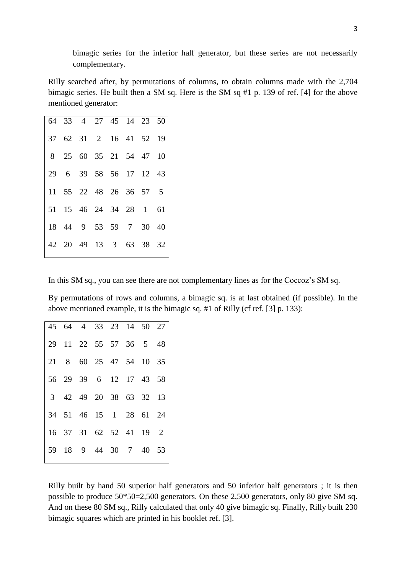bimagic series for the inferior half generator, but these series are not necessarily complementary.

Rilly searched after, by permutations of columns, to obtain columns made with the 2,704 bimagic series. He built then a SM sq. Here is the SM sq #1 p. 139 of ref. [4] for the above mentioned generator:

| 64 33 4 27 45 14 23 50 |  |  |  |
|------------------------|--|--|--|
| 37 62 31 2 16 41 52 19 |  |  |  |
| 8 25 60 35 21 54 47 10 |  |  |  |
| 29 6 39 58 56 17 12 43 |  |  |  |
| 11 55 22 48 26 36 57 5 |  |  |  |
| 51 15 46 24 34 28 1 61 |  |  |  |
| 18 44 9 53 59 7 30 40  |  |  |  |
| 42 20 49 13 3 63 38 32 |  |  |  |
|                        |  |  |  |

In this SM sq., you can see there are not complementary lines as for the Coccoz's SM sq.

By permutations of rows and columns, a bimagic sq. is at last obtained (if possible). In the above mentioned example, it is the bimagic sq. #1 of Rilly (cf ref. [3] p. 133):

|  | 45 64 4 33 23 14 50 27 |  |  |  |
|--|------------------------|--|--|--|
|  | 29 11 22 55 57 36 5 48 |  |  |  |
|  | 21 8 60 25 47 54 10 35 |  |  |  |
|  | 56 29 39 6 12 17 43 58 |  |  |  |
|  | 3 42 49 20 38 63 32 13 |  |  |  |
|  | 34 51 46 15 1 28 61 24 |  |  |  |
|  | 16 37 31 62 52 41 19 2 |  |  |  |
|  | 59 18 9 44 30 7 40 53  |  |  |  |
|  |                        |  |  |  |

Rilly built by hand 50 superior half generators and 50 inferior half generators ; it is then possible to produce 50\*50=2,500 generators. On these 2,500 generators, only 80 give SM sq. And on these 80 SM sq., Rilly calculated that only 40 give bimagic sq. Finally, Rilly built 230 bimagic squares which are printed in his booklet ref. [3].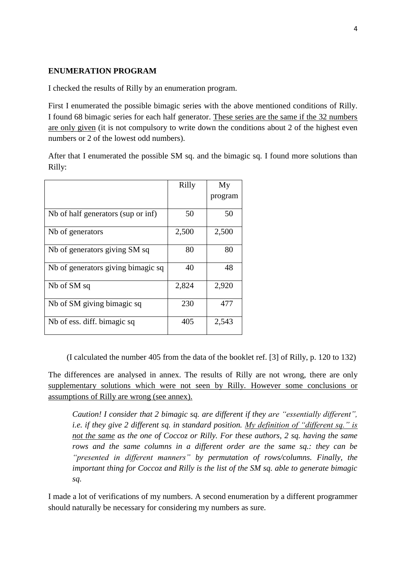#### **ENUMERATION PROGRAM**

I checked the results of Rilly by an enumeration program.

First I enumerated the possible bimagic series with the above mentioned conditions of Rilly. I found 68 bimagic series for each half generator. These series are the same if the 32 numbers are only given (it is not compulsory to write down the conditions about 2 of the highest even numbers or 2 of the lowest odd numbers).

After that I enumerated the possible SM sq. and the bimagic sq. I found more solutions than Rilly:

|                                    | Rilly | My<br>program |
|------------------------------------|-------|---------------|
| Nb of half generators (sup or inf) | 50    | 50            |
| Nb of generators                   | 2,500 | 2,500         |
| Nb of generators giving SM sq      | 80    | 80            |
| Nb of generators giving bimagic sq | 40    | 48            |
| Nb of SM sq                        | 2,824 | 2,920         |
| Nb of SM giving bimagic sq         | 230   | 477           |
| Nb of ess. diff. bimagic sq        | 405   | 2,543         |

(I calculated the number 405 from the data of the booklet ref. [3] of Rilly, p. 120 to 132)

The differences are analysed in annex. The results of Rilly are not wrong, there are only supplementary solutions which were not seen by Rilly. However some conclusions or assumptions of Rilly are wrong (see annex).

*Caution! I consider that 2 bimagic sq. are different if they are "essentially different", i.e. if they give 2 different sq. in standard position. My definition of "different sq." is not the same as the one of Coccoz or Rilly. For these authors, 2 sq. having the same rows and the same columns in a different order are the same sq.: they can be "presented in different manners" by permutation of rows/columns. Finally, the important thing for Coccoz and Rilly is the list of the SM sq. able to generate bimagic sq.*

I made a lot of verifications of my numbers. A second enumeration by a different programmer should naturally be necessary for considering my numbers as sure.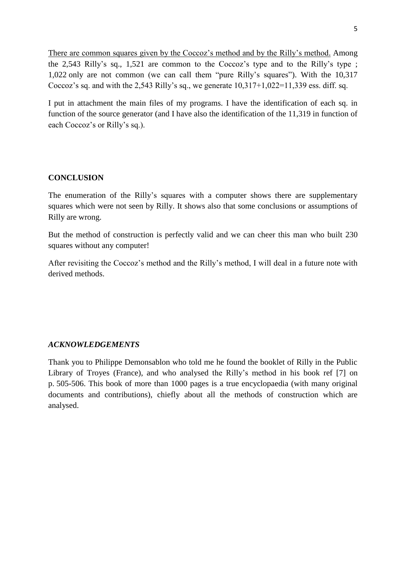There are common squares given by the Coccoz's method and by the Rilly's method. Among the 2,543 Rilly's sq., 1,521 are common to the Coccoz's type and to the Rilly's type ; 1,022 only are not common (we can call them "pure Rilly's squares"). With the 10,317 Coccoz's sq. and with the 2,543 Rilly's sq., we generate  $10,317+1,022=11,339$  ess. diff. sq.

I put in attachment the main files of my programs. I have the identification of each sq. in function of the source generator (and I have also the identification of the 11,319 in function of each Coccoz's or Rilly's sq.).

### **CONCLUSION**

The enumeration of the Rilly's squares with a computer shows there are supplementary squares which were not seen by Rilly. It shows also that some conclusions or assumptions of Rilly are wrong.

But the method of construction is perfectly valid and we can cheer this man who built 230 squares without any computer!

After revisiting the Coccoz's method and the Rilly's method, I will deal in a future note with derived methods.

#### *ACKNOWLEDGEMENTS*

Thank you to Philippe Demonsablon who told me he found the booklet of Rilly in the Public Library of Troyes (France), and who analysed the Rilly's method in his book ref [7] on p. 505-506. This book of more than 1000 pages is a true encyclopaedia (with many original documents and contributions), chiefly about all the methods of construction which are analysed.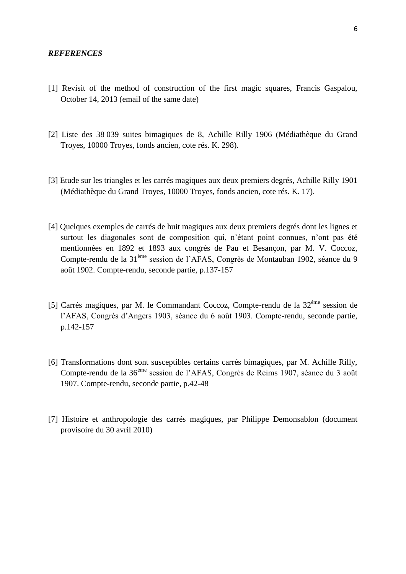#### *REFERENCES*

- [1] Revisit of the method of construction of the first magic squares, Francis Gaspalou, October 14, 2013 (email of the same date)
- [2] Liste des 38 039 suites bimagiques de 8, Achille Rilly 1906 (Médiathèque du Grand Troyes, 10000 Troyes, fonds ancien, cote rés. K. 298).
- [3] Etude sur les triangles et les carrés magiques aux deux premiers degrés, Achille Rilly 1901 (Médiathèque du Grand Troyes, 10000 Troyes, fonds ancien, cote rés. K. 17).
- [4] Quelques exemples de carrés de huit magiques aux deux premiers degrés dont les lignes et surtout les diagonales sont de composition qui, n'étant point connues, n'ont pas été mentionnées en 1892 et 1893 aux congrès de Pau et Besançon, par M. V. Coccoz, Compte-rendu de la 31ème session de l'AFAS, Congrès de Montauban 1902, séance du 9 août 1902. Compte-rendu, seconde partie, p.137-157
- [5] Carrés magiques, par M. le Commandant Coccoz, Compte-rendu de la  $32<sup>eme</sup>$  session de l'AFAS, Congrès d'Angers 1903, séance du 6 août 1903. Compte-rendu, seconde partie, p.142-157
- [6] Transformations dont sont susceptibles certains carrés bimagiques, par M. Achille Rilly, Compte-rendu de la 36ème session de l'AFAS, Congrès de Reims 1907, séance du 3 août 1907. Compte-rendu, seconde partie, p.42-48
- [7] Histoire et anthropologie des carrés magiques, par Philippe Demonsablon (document provisoire du 30 avril 2010)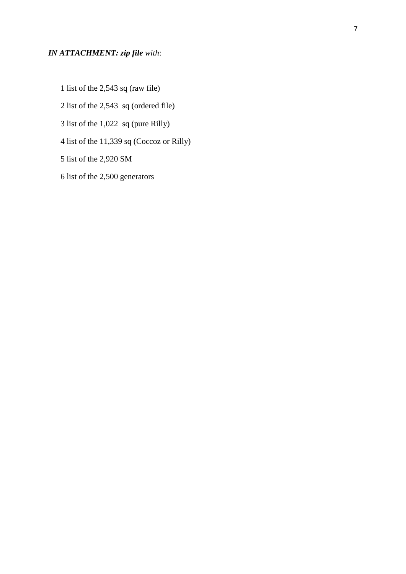# *IN ATTACHMENT: zip file with*:

- 1 list of the 2,543 sq (raw file)
- 2 list of the 2,543 sq (ordered file)
- 3 list of the 1,022 sq (pure Rilly)
- 4 list of the 11,339 sq (Coccoz or Rilly)
- 5 list of the 2,920 SM
- 6 list of the 2,500 generators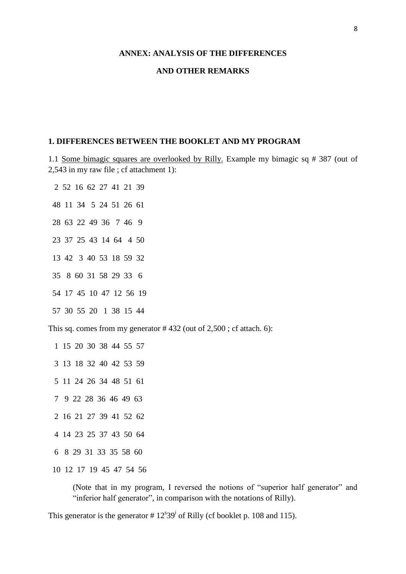#### **ANNEX: ANALYSIS OF THE DIFFERENCES**

#### **AND OTHER REMARKS**

#### **1. DIFFERENCES BETWEEN THE BOOKLET AND MY PROGRAM**

1.1 Some bimagic squares are overlooked by Rilly. Example my bimagic sq # 387 (out of 2,543 in my raw file ; cf attachment 1):

2 52 16 62 27 41 21 39

- 48 11 34 5 24 51 26 61
- 28 63 22 49 36 7 46 9
- 23 37 25 43 14 64 4 50
- 13 42 3 40 53 18 59 32
- 35 8 60 31 58 29 33 6
- 54 17 45 10 47 12 56 19
- 57 30 55 20 1 38 15 44

This sq. comes from my generator # 432 (out of 2,500 ; cf attach. 6):

- 1 15 20 30 38 44 55 57
- 3 13 18 32 40 42 53 59
- 5 11 24 26 34 48 51 61
- 7 9 22 28 36 46 49 63
- 2 16 21 27 39 41 52 62
- 4 14 23 25 37 43 50 64
- 6 8 29 31 33 35 58 60
- 10 12 17 19 45 47 54 56

(Note that in my program, I reversed the notions of "superior half generator" and "inferior half generator", in comparison with the notations of Rilly).

This generator is the generator  $# 12<sup>s</sup>39<sup>i</sup>$  of Rilly (cf booklet p. 108 and 115).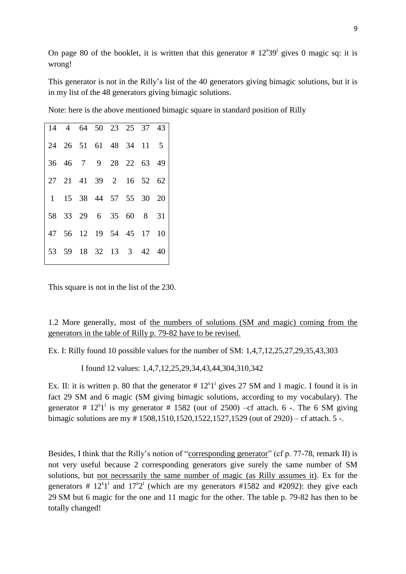On page 80 of the booklet, it is written that this generator  $# 12<sup>s</sup>39<sup>i</sup>$  gives 0 magic sq: it is wrong!

This generator is not in the Rilly's list of the 40 generators giving bimagic solutions, but it is in my list of the 48 generators giving bimagic solutions.

Note: here is the above mentioned bimagic square in standard position of Rilly

|  | 14 4 64 50 23 25 37 43  |  |  |  |
|--|-------------------------|--|--|--|
|  | 24 26 51 61 48 34 11 5  |  |  |  |
|  | 36 46 7 9 28 22 63 49   |  |  |  |
|  | 27 21 41 39 2 16 52 62  |  |  |  |
|  | 1 15 38 44 57 55 30 20  |  |  |  |
|  | 58 33 29 6 35 60 8 31   |  |  |  |
|  | 47 56 12 19 54 45 17 10 |  |  |  |
|  | 53 59 18 32 13 3 42 40  |  |  |  |

This square is not in the list of the 230.

1.2 More generally, most of the numbers of solutions (SM and magic) coming from the generators in the table of Rilly p. 79-82 have to be revised.

Ex. I: Rilly found 10 possible values for the number of SM: 1,4,7,12,25,27,29,35,43,303

I found 12 values: 1,4,7,12,25,29,34,43,44,304,310,342

Ex. II: it is written p. 80 that the generator  $# 12<sup>s</sup>1<sup>i</sup>$  gives 27 SM and 1 magic. I found it is in fact 29 SM and 6 magic (SM giving bimagic solutions, according to my vocabulary). The generator #  $12^{s}1^{i}$  is my generator # 1582 (out of 2500) –cf attach. 6 -. The 6 SM giving bimagic solutions are my # 1508,1510,1520,1522,1527,1529 (out of 2920) – cf attach. 5 -.

Besides, I think that the Rilly's notion of "corresponding generator" (cf p. 77-78, remark II) is not very useful because 2 corresponding generators give surely the same number of SM solutions, but not necessarily the same number of magic (as Rilly assumes it). Ex for the generators #  $12^{s}1^{i}$  and  $17^{s}2^{i}$  (which are my generators #1582 and #2092): they give each 29 SM but 6 magic for the one and 11 magic for the other. The table p. 79-82 has then to be totally changed!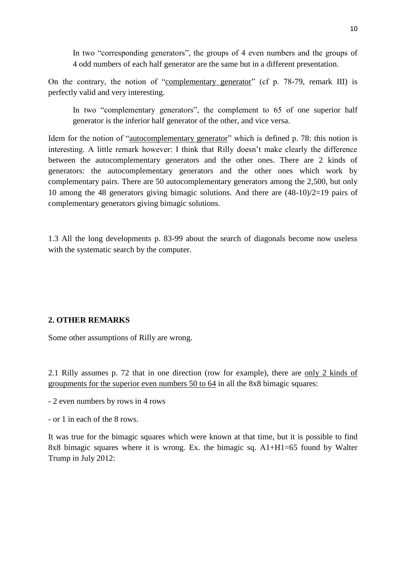In two "corresponding generators", the groups of 4 even numbers and the groups of 4 odd numbers of each half generator are the same but in a different presentation.

On the contrary, the notion of "complementary generator" (cf p. 78-79, remark III) is perfectly valid and very interesting.

In two "complementary generators", the complement to 65 of one superior half generator is the inferior half generator of the other, and vice versa.

Idem for the notion of "autocomplementary generator" which is defined p. 78: this notion is interesting. A little remark however: I think that Rilly doesn't make clearly the difference between the autocomplementary generators and the other ones. There are 2 kinds of generators: the autocomplementary generators and the other ones which work by complementary pairs. There are 50 autocomplementary generators among the 2,500, but only 10 among the 48 generators giving bimagic solutions. And there are (48-10)/2=19 pairs of complementary generators giving bimagic solutions.

1.3 All the long developments p. 83-99 about the search of diagonals become now useless with the systematic search by the computer.

#### **2. OTHER REMARKS**

Some other assumptions of Rilly are wrong.

2.1 Rilly assumes p. 72 that in one direction (row for example), there are only 2 kinds of groupments for the superior even numbers 50 to 64 in all the 8x8 bimagic squares:

- 2 even numbers by rows in 4 rows

- or 1 in each of the 8 rows.

It was true for the bimagic squares which were known at that time, but it is possible to find 8x8 bimagic squares where it is wrong. Ex. the bimagic sq. A1+H1=65 found by Walter Trump in July 2012: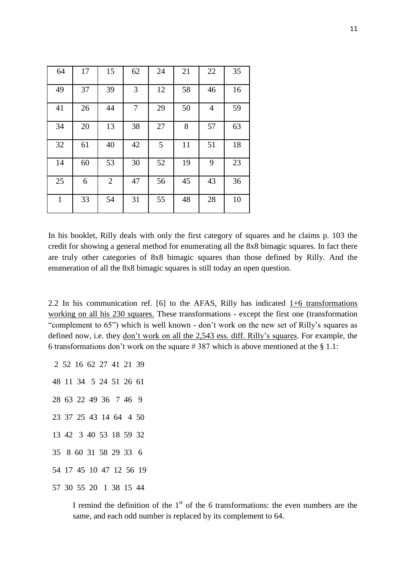| 64           | 17 | 15             | 62 | 24 | 21 | 22             | 35 |
|--------------|----|----------------|----|----|----|----------------|----|
| 49           | 37 | 39             | 3  | 12 | 58 | 46             | 16 |
| 41           | 26 | 44             | 7  | 29 | 50 | $\overline{4}$ | 59 |
| 34           | 20 | 13             | 38 | 27 | 8  | 57             | 63 |
| 32           | 61 | 40             | 42 | 5  | 11 | 51             | 18 |
| 14           | 60 | 53             | 30 | 52 | 19 | 9              | 23 |
| 25           | 6  | $\overline{2}$ | 47 | 56 | 45 | 43             | 36 |
| $\mathbf{1}$ | 33 | 54             | 31 | 55 | 48 | 28             | 10 |

In his booklet, Rilly deals with only the first category of squares and he claims p. 103 the credit for showing a general method for enumerating all the 8x8 bimagic squares. In fact there are truly other categories of 8x8 bimagic squares than those defined by Rilly. And the enumeration of all the 8x8 bimagic squares is still today an open question.

2.2 In his communication ref. [6] to the AFAS, Rilly has indicated 1+6 transformations working on all his 230 squares. These transformations - except the first one (transformation "complement to 65") which is well known - don't work on the new set of Rilly's squares as defined now, i.e. they don't work on all the 2,543 ess. diff. Rilly's squares. For example, the 6 transformations don't work on the square # 387 which is above mentioned at the  $\S 1.1$ :

2 52 16 62 27 41 21 39

> I remind the definition of the  $1<sup>st</sup>$  of the 6 transformations: the even numbers are the same, and each odd number is replaced by its complement to 64.